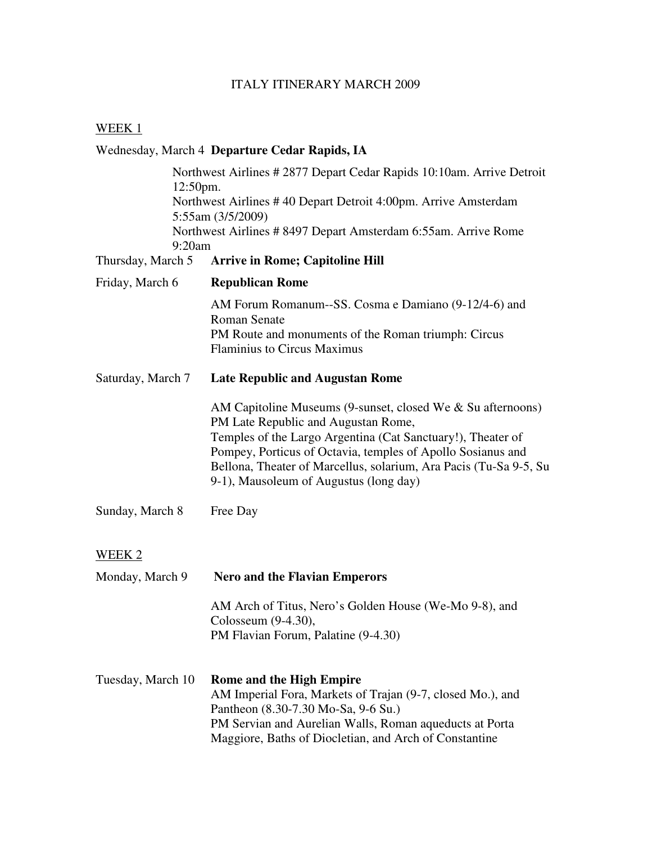## ITALY ITINERARY MARCH 2009

### WEEK<sub>1</sub>

# Wednesday, March 4 **Departure Cedar Rapids, IA**

| 12:50pm.          | Northwest Airlines #2877 Depart Cedar Rapids 10:10am. Arrive Detroit                                                                                                                                                                                                                                                                            |
|-------------------|-------------------------------------------------------------------------------------------------------------------------------------------------------------------------------------------------------------------------------------------------------------------------------------------------------------------------------------------------|
|                   | Northwest Airlines #40 Depart Detroit 4:00pm. Arrive Amsterdam<br>5:55am (3/5/2009)                                                                                                                                                                                                                                                             |
| 9:20am            | Northwest Airlines # 8497 Depart Amsterdam 6:55am. Arrive Rome                                                                                                                                                                                                                                                                                  |
| Thursday, March 5 | <b>Arrive in Rome; Capitoline Hill</b>                                                                                                                                                                                                                                                                                                          |
| Friday, March 6   | <b>Republican Rome</b>                                                                                                                                                                                                                                                                                                                          |
|                   | AM Forum Romanum-SS. Cosma e Damiano (9-12/4-6) and<br><b>Roman Senate</b>                                                                                                                                                                                                                                                                      |
|                   | PM Route and monuments of the Roman triumph: Circus<br><b>Flaminius to Circus Maximus</b>                                                                                                                                                                                                                                                       |
| Saturday, March 7 | <b>Late Republic and Augustan Rome</b>                                                                                                                                                                                                                                                                                                          |
|                   | AM Capitoline Museums (9-sunset, closed We & Su afternoons)<br>PM Late Republic and Augustan Rome,<br>Temples of the Largo Argentina (Cat Sanctuary!), Theater of<br>Pompey, Porticus of Octavia, temples of Apollo Sosianus and<br>Bellona, Theater of Marcellus, solarium, Ara Pacis (Tu-Sa 9-5, Su<br>9-1), Mausoleum of Augustus (long day) |
| Sunday, March 8   | Free Day                                                                                                                                                                                                                                                                                                                                        |
| WEEK 2            |                                                                                                                                                                                                                                                                                                                                                 |
| Monday, March 9   | <b>Nero and the Flavian Emperors</b>                                                                                                                                                                                                                                                                                                            |
|                   | AM Arch of Titus, Nero's Golden House (We-Mo 9-8), and<br>Colosseum (9-4.30),<br>PM Flavian Forum, Palatine (9-4.30)                                                                                                                                                                                                                            |
| Tuesday, March 10 | <b>Rome and the High Empire</b><br>AM Imperial Fora, Markets of Trajan (9-7, closed Mo.), and<br>Pantheon (8.30-7.30 Mo-Sa, 9-6 Su.)<br>PM Servian and Aurelian Walls, Roman aqueducts at Porta<br>Maggiore, Baths of Diocletian, and Arch of Constantine                                                                                       |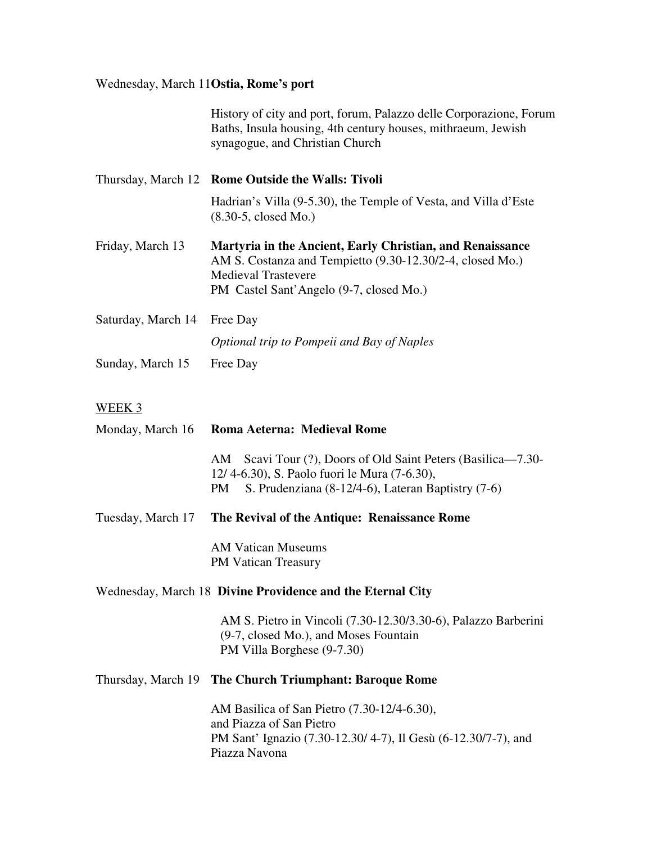#### Wednesday, March 11**Ostia, Rome's port**

History of city and port, forum, Palazzo delle Corporazione, Forum Baths, Insula housing, 4th century houses, mithraeum, Jewish synagogue, and Christian Church

- Thursday, March 12 **Rome Outside the Walls: Tivoli**  Hadrian's Villa (9-5.30), the Temple of Vesta, and Villa d'Este (8.30-5, closed Mo.) Friday, March 13 **Martyria in the Ancient, Early Christian, and Renaissance**  AM S. Costanza and Tempietto (9.30-12.30/2-4, closed Mo.) Medieval Trastevere PM Castel Sant'Angelo (9-7, closed Mo.)
- Saturday, March 14 Free Day *Optional trip to Pompeii and Bay of Naples*  Sunday, March 15 Free Day

#### WEEK 3

|                   | Monday, March 16 Roma Aeterna: Medieval Rome                                                                                                                             |  |
|-------------------|--------------------------------------------------------------------------------------------------------------------------------------------------------------------------|--|
|                   | AM Scavi Tour (?), Doors of Old Saint Peters (Basilica—7.30-<br>12/4-6.30), S. Paolo fuori le Mura (7-6.30),<br>S. Prudenziana (8-12/4-6), Lateran Baptistry (7-6)<br>PM |  |
| Tuesday, March 17 | The Revival of the Antique: Renaissance Rome                                                                                                                             |  |
|                   | <b>AM Vatican Museums</b><br><b>PM Vatican Treasury</b>                                                                                                                  |  |
|                   | Wednesday, March 18 Divine Providence and the Eternal City                                                                                                               |  |
|                   | AM S. Pietro in Vincoli (7.30-12.30/3.30-6), Palazzo Barberini<br>(9-7, closed Mo.), and Moses Fountain<br>PM Villa Borghese (9-7.30)                                    |  |
|                   | Thursday, March 19 The Church Triumphant: Baroque Rome                                                                                                                   |  |
|                   | AM Basilica of San Pietro (7.30-12/4-6.30),<br>and Piazza of San Pietro<br>PM Sant' Ignazio (7.30-12.30/4-7), Il Gesù (6-12.30/7-7), and<br>Piazza Navona                |  |